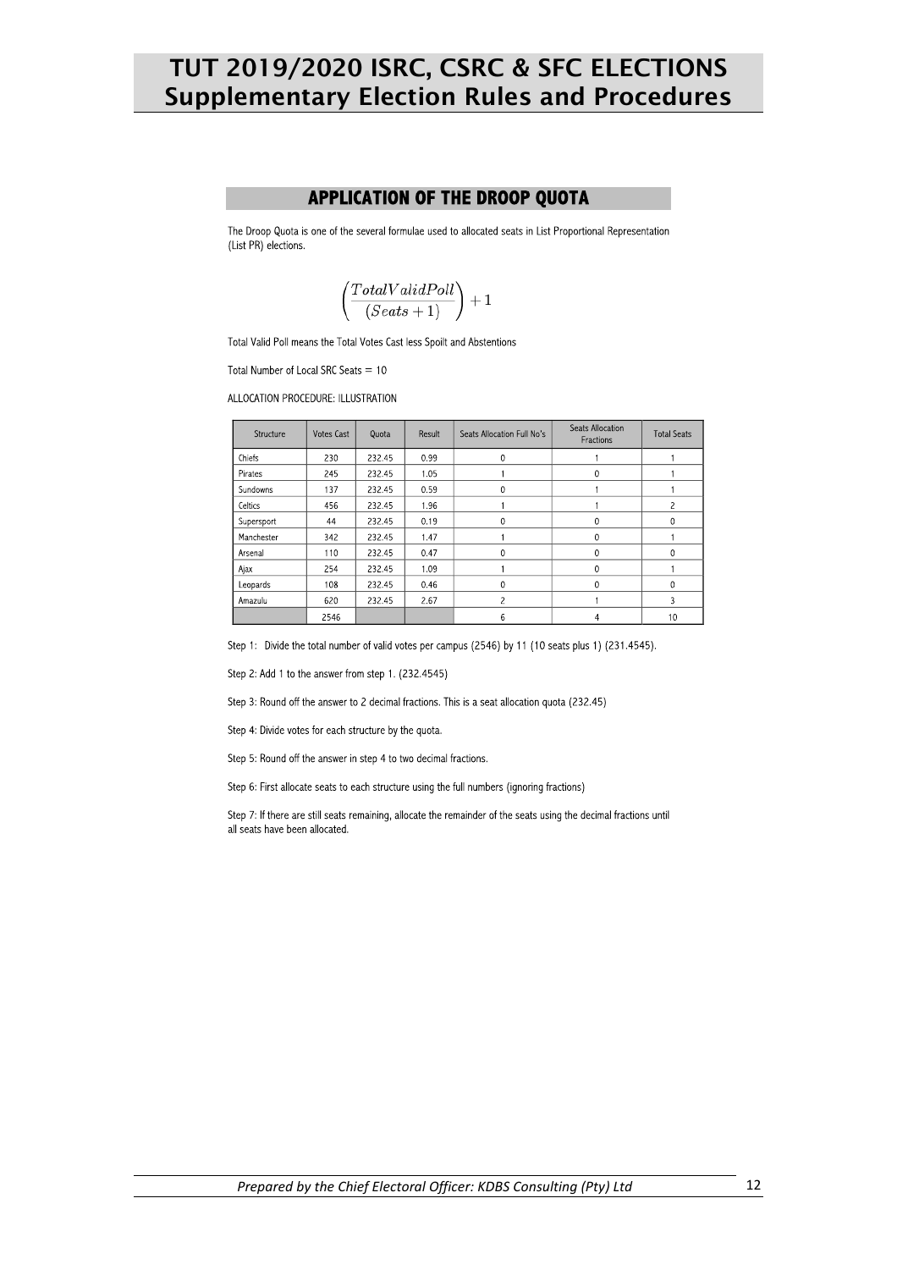## TUT 2019/2020 ISRC, CSRC & SFC ELECTIONS **Supplementary Election Rules and Procedures**

#### **APPLICATION OF THE DROOP QUOTA**

The Droop Quota is one of the several formulae used to allocated seats in List Proportional Representation (List PR) elections.

$$
\left(\frac{TotalValidPoll}{(Seats + 1)}\right) + 1
$$

Total Valid Poll means the Total Votes Cast less Spoilt and Abstentions

Total Number of Local SRC Seats  $= 10$ 

ALLOCATION PROCEDURE: ILLUSTRATION

| Structure       | Votes Cast | Quota  | Result | Seats Allocation Full No's | Seats Allocation<br>Fractions | <b>Total Seats</b> |
|-----------------|------------|--------|--------|----------------------------|-------------------------------|--------------------|
| Chiefs          | 230        | 232.45 | 0.99   | 0                          |                               |                    |
| Pirates         | 245        | 232.45 | 1.05   |                            | 0                             |                    |
| <b>Sundowns</b> | 137        | 232.45 | 0.59   | 0                          |                               |                    |
| Celtics         | 456        | 232.45 | 1.96   |                            |                               | 2                  |
| Supersport      | 44         | 232.45 | 0.19   | 0                          | 0                             | 0                  |
| Manchester      | 342        | 232.45 | 1.47   |                            | 0                             |                    |
| Arsena          | 110        | 232.45 | 0.47   | 0                          | $\mathbf{0}$                  | 0                  |
| Ajax            | 254        | 232.45 | 1.09   |                            | 0                             |                    |
| Leopards        | 108        | 232.45 | 0.46   | 0                          | 0                             | 0                  |
| Amazulu         | 620        | 232.45 | 2.67   | 2                          |                               | 3                  |
|                 | 2546       |        |        | 6                          | 4                             | 10                 |

Step 1: Divide the total number of valid votes per campus (2546) by 11 (10 seats plus 1) (231.4545).

Step 2: Add 1 to the answer from step 1. (232.4545)

Step 3: Round off the answer to 2 decimal fractions. This is a seat allocation quota (232.45)

Step 4: Divide votes for each structure by the quota.

Step 5: Round off the answer in step 4 to two decimal fractions.

Step 6: First allocate seats to each structure using the full numbers (ignoring fractions)

Step 7: If there are still seats remaining, allocate the remainder of the seats using the decimal fractions until all seats have been allocated.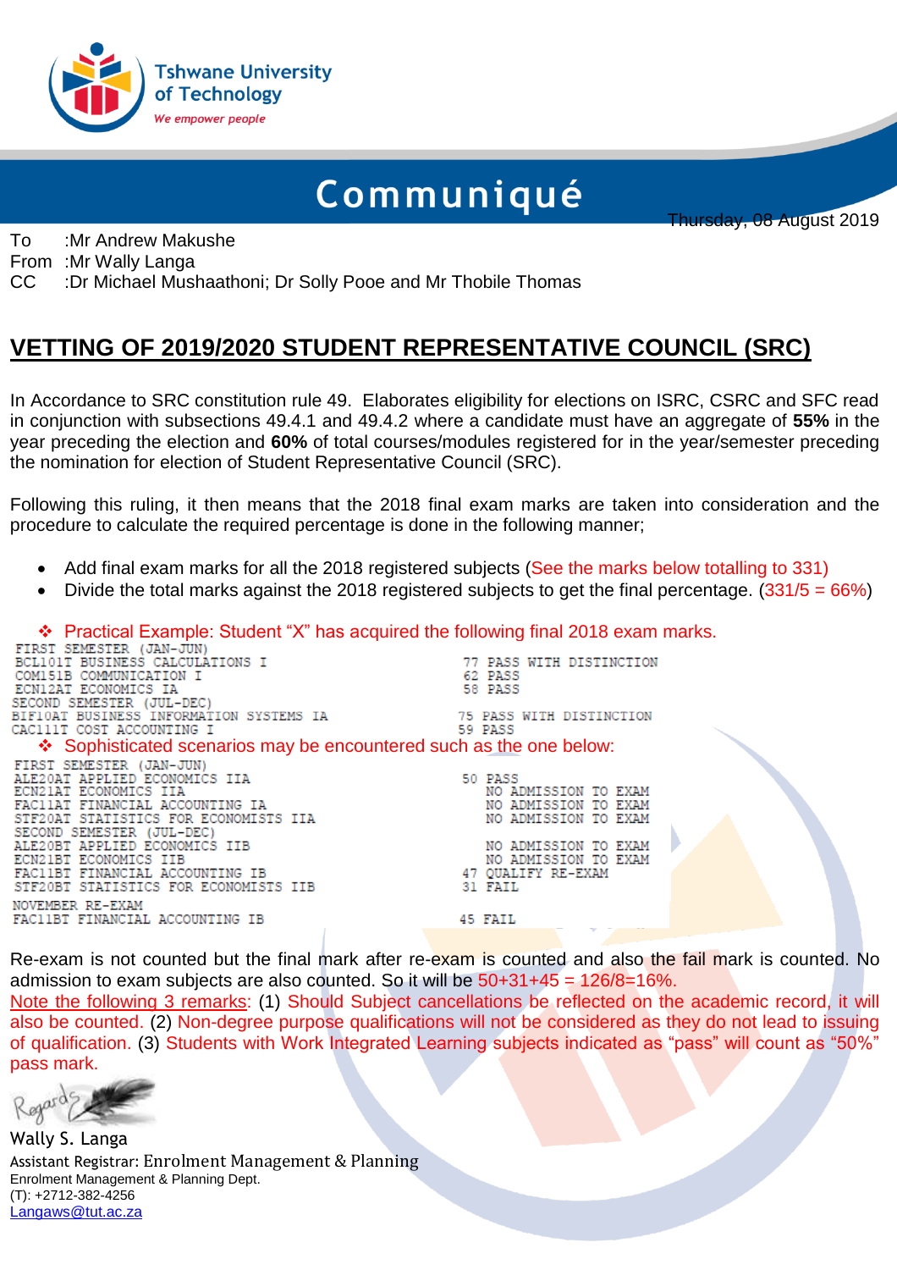

# Communiqué

Thursday, 08 August 2019

To :Mr Andrew Makushe

From :Mr Wally Langa

CC :Dr Michael Mushaathoni; Dr Solly Pooe and Mr Thobile Thomas

## **VETTING OF 2019/2020 STUDENT REPRESENTATIVE COUNCIL (SRC)**

In Accordance to SRC constitution rule 49. Elaborates eligibility for elections on ISRC, CSRC and SFC read in conjunction with subsections 49.4.1 and 49.4.2 where a candidate must have an aggregate of **55%** in the year preceding the election and **60%** of total courses/modules registered for in the year/semester preceding the nomination for election of Student Representative Council (SRC).

Following this ruling, it then means that the 2018 final exam marks are taken into consideration and the procedure to calculate the required percentage is done in the following manner;

- Add final exam marks for all the 2018 registered subjects (See the marks below totalling to 331)
- Divide the total marks against the 2018 registered subjects to get the final percentage.  $(331/5 = 66\%)$

Practical Example: Student "X" has acquired the following final 2018 exam marks.

| FIRST SEMESTER (JAN-JUN)                                                 |                          |
|--------------------------------------------------------------------------|--------------------------|
| BCL101T BUSINESS CALCULATIONS I                                          | 77 PASS WITH DISTINCTION |
| COMI51B COMMUNICATION I                                                  | 62 PASS                  |
| ECN12AT ECONOMICS IA                                                     | 58 PASS                  |
| SECOND SEMESTER (JUL-DEC)                                                |                          |
|                                                                          |                          |
| CAC111T COST ACCOUNTING I                                                | 59 PASS                  |
| $\div$ Sophisticated scenarios may be encountered such as the one below: |                          |
| FIRST SEMESTER (JAN-JUN)                                                 |                          |
| ALE20AT APPLIED ECONOMICS IIA                                            | 50 PASS                  |
| ECN21AT ECONOMICS IIA                                                    | NO ADMISSION TO EXAM     |
| FAC11AT FINANCIAL ACCOUNTING IA                                          | NO ADMISSION TO EXAM     |
| STF20AT STATISTICS FOR ECONOMISTS IIA                                    | NO ADMISSION TO EXAM     |
| SECOND SEMESTER (JUL-DEC)                                                |                          |
| ALE20BT APPLIED ECONOMICS IIB                                            | NO ADMISSION TO EXAM     |
| ECN21BT ECONOMICS IIB                                                    | NO ADMISSION TO EXAM     |
| FAC11BT FINANCIAL ACCOUNTING IB                                          | 47 QUALIFY RE-EXAM       |
| STF20BT STATISTICS FOR ECONOMISTS IIB                                    | 31 FAIL                  |
| NOVEMBER RE-EXAM                                                         |                          |
| FAC11BT FINANCIAL ACCOUNTING IB                                          | 45 FAIL                  |
|                                                                          |                          |

Re-exam is not counted but the final mark after re-exam is counted and also the fail mark is counted. No admission to exam subjects are also counted. So it will be 50+31+45 = 126/8=16%.

Note the following 3 remarks: (1) Should Subject cancellations be reflected on the academic record, it will also be counted. (2) Non-degree purpose qualifications will not be considered as they do not lead to issuing of qualification. (3) Students with Work Integrated Learning subjects indicated as "pass" will count as "50%" pass mark.

Wally S. Langa Assistant Registrar: Enrolment Management & Planning Enrolment Management & Planning Dept. (T): +2712-382-4256 [Langaws@tut.ac.za](mailto:Langaws@tut.ac.za)